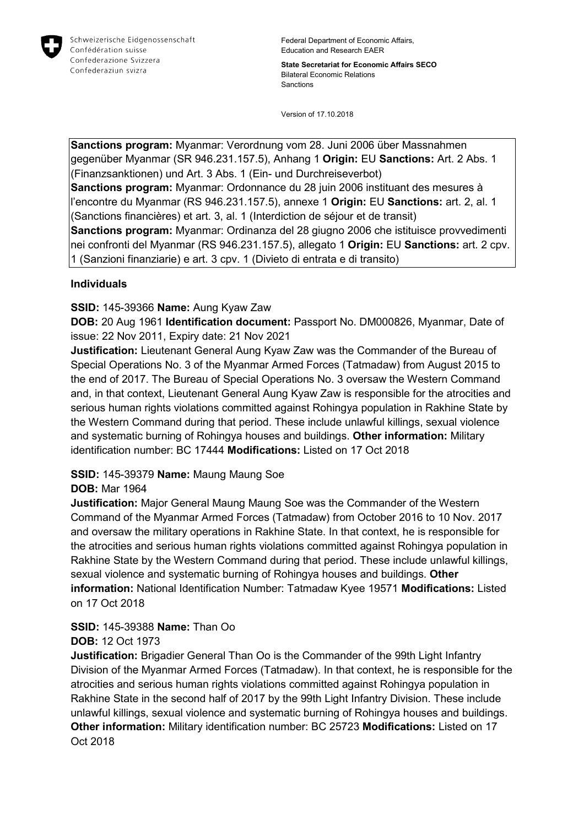

Federal Department of Economic Affairs, Education and Research EAER

**State Secretariat for Economic Affairs SECO** Bilateral Economic Relations Sanctions

Version of 17.10.2018

**Sanctions program:** Myanmar: Verordnung vom 28. Juni 2006 über Massnahmen gegenüber Myanmar (SR 946.231.157.5), Anhang 1 **Origin:** EU **Sanctions:** Art. 2 Abs. 1 (Finanzsanktionen) und Art. 3 Abs. 1 (Ein- und Durchreiseverbot) **Sanctions program:** Myanmar: Ordonnance du 28 juin 2006 instituant des mesures à l'encontre du Myanmar (RS 946.231.157.5), annexe 1 **Origin:** EU **Sanctions:** art. 2, al. 1 (Sanctions financières) et art. 3, al. 1 (Interdiction de séjour et de transit) **Sanctions program:** Myanmar: Ordinanza del 28 giugno 2006 che istituisce provvedimenti nei confronti del Myanmar (RS 946.231.157.5), allegato 1 **Origin:** EU **Sanctions:** art. 2 cpv. 1 (Sanzioni finanziarie) e art. 3 cpv. 1 (Divieto di entrata e di transito)

### **Individuals**

## **SSID:** 145-39366 **Name:** Aung Kyaw Zaw

**DOB:** 20 Aug 1961 **Identification document:** Passport No. DM000826, Myanmar, Date of issue: 22 Nov 2011, Expiry date: 21 Nov 2021

**Justification:** Lieutenant General Aung Kyaw Zaw was the Commander of the Bureau of Special Operations No. 3 of the Myanmar Armed Forces (Tatmadaw) from August 2015 to the end of 2017. The Bureau of Special Operations No. 3 oversaw the Western Command and, in that context, Lieutenant General Aung Kyaw Zaw is responsible for the atrocities and serious human rights violations committed against Rohingya population in Rakhine State by the Western Command during that period. These include unlawful killings, sexual violence and systematic burning of Rohingya houses and buildings. **Other information:** Military identification number: BC 17444 **Modifications:** Listed on 17 Oct 2018

## **SSID:** 145-39379 **Name:** Maung Maung Soe

## **DOB:** Mar 1964

**Justification:** Major General Maung Maung Soe was the Commander of the Western Command of the Myanmar Armed Forces (Tatmadaw) from October 2016 to 10 Nov. 2017 and oversaw the military operations in Rakhine State. In that context, he is responsible for the atrocities and serious human rights violations committed against Rohingya population in Rakhine State by the Western Command during that period. These include unlawful killings, sexual violence and systematic burning of Rohingya houses and buildings. **Other information:** National Identification Number: Tatmadaw Kyee 19571 **Modifications:** Listed on 17 Oct 2018

#### **SSID:** 145-39388 **Name:** Than Oo **DOB:** 12 Oct 1973

**Justification:** Brigadier General Than Oo is the Commander of the 99th Light Infantry Division of the Myanmar Armed Forces (Tatmadaw). In that context, he is responsible for the atrocities and serious human rights violations committed against Rohingya population in Rakhine State in the second half of 2017 by the 99th Light Infantry Division. These include unlawful killings, sexual violence and systematic burning of Rohingya houses and buildings. **Other information:** Military identification number: BC 25723 **Modifications:** Listed on 17 Oct 2018